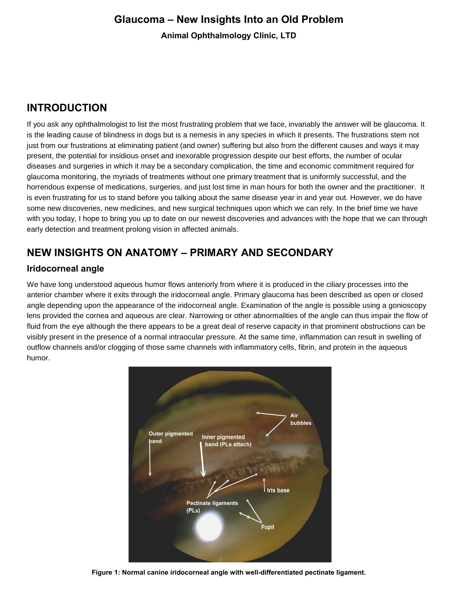# **Glaucoma – New Insights Into an Old Problem Animal Ophthalmology Clinic, LTD**

# **INTRODUCTION**

If you ask any ophthalmologist to list the most frustrating problem that we face, invariably the answer will be glaucoma. It is the leading cause of blindness in dogs but is a nemesis in any species in which it presents. The frustrations stem not just from our frustrations at eliminating patient (and owner) suffering but also from the different causes and ways it may present, the potential for insidious onset and inexorable progression despite our best efforts, the number of ocular diseases and surgeries in which it may be a secondary complication, the time and economic commitment required for glaucoma monitoring, the myriads of treatments without one primary treatment that is uniformly successful, and the horrendous expense of medications, surgeries, and just lost time in man hours for both the owner and the practitioner. It is even frustrating for us to stand before you talking about the same disease year in and year out. However, we do have some new discoveries, new medicines, and new surgical techniques upon which we can rely. In the brief time we have with you today, I hope to bring you up to date on our newest discoveries and advances with the hope that we can through early detection and treatment prolong vision in affected animals.

## **NEW INSIGHTS ON ANATOMY – PRIMARY AND SECONDARY**

#### **Iridocorneal angle**

We have long understood aqueous humor flows anteriorly from where it is produced in the ciliary processes into the anterior chamber where it exits through the iridocorneal angle. Primary glaucoma has been described as open or closed angle depending upon the appearance of the iridocorneal angle. Examination of the angle is possible using a gonioscopy lens provided the cornea and aqueous are clear. Narrowing or other abnormalities of the angle can thus impair the flow of fluid from the eye although the there appears to be a great deal of reserve capacity in that prominent obstructions can be visibly present in the presence of a normal intraocular pressure. At the same time, inflammation can result in swelling of outflow channels and/or clogging of those same channels with inflammatory cells, fibrin, and protein in the aqueous humor.



**Figure 1: Normal canine iridocorneal angle with well-differentiated pectinate ligament.**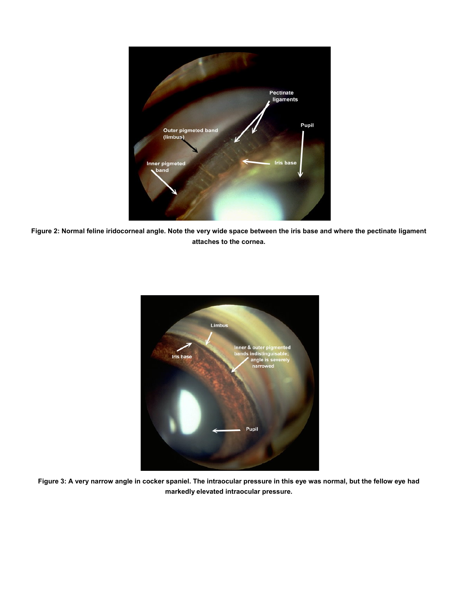

**Figure 2: Normal feline iridocorneal angle. Note the very wide space between the iris base and where the pectinate ligament attaches to the cornea.**



**Figure 3: A very narrow angle in cocker spaniel. The intraocular pressure in this eye was normal, but the fellow eye had markedly elevated intraocular pressure.**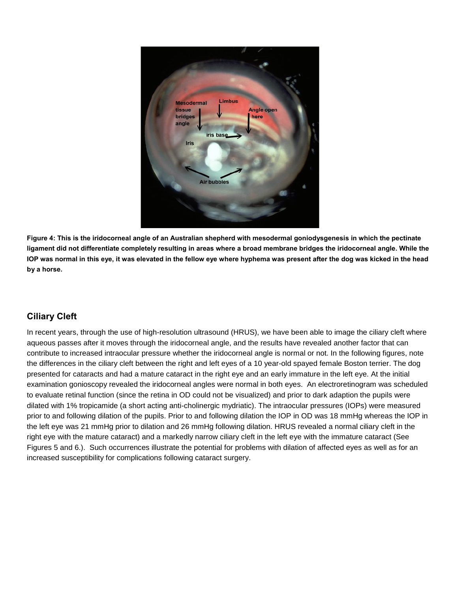

**Figure 4: This is the iridocorneal angle of an Australian shepherd with mesodermal goniodysgenesis in which the pectinate ligament did not differentiate completely resulting in areas where a broad membrane bridges the iridocorneal angle. While the IOP was normal in this eye, it was elevated in the fellow eye where hyphema was present after the dog was kicked in the head by a horse.**

#### **Ciliary Cleft**

In recent years, through the use of high-resolution ultrasound (HRUS), we have been able to image the ciliary cleft where aqueous passes after it moves through the iridocorneal angle, and the results have revealed another factor that can contribute to increased intraocular pressure whether the iridocorneal angle is normal or not. In the following figures, note the differences in the ciliary cleft between the right and left eyes of a 10 year-old spayed female Boston terrier. The dog presented for cataracts and had a mature cataract in the right eye and an early immature in the left eye. At the initial examination gonioscopy revealed the iridocorneal angles were normal in both eyes. An electroretinogram was scheduled to evaluate retinal function (since the retina in OD could not be visualized) and prior to dark adaption the pupils were dilated with 1% tropicamide (a short acting anti-cholinergic mydriatic). The intraocular pressures (IOPs) were measured prior to and following dilation of the pupils. Prior to and following dilation the IOP in OD was 18 mmHg whereas the IOP in the left eye was 21 mmHg prior to dilation and 26 mmHg following dilation. HRUS revealed a normal ciliary cleft in the right eye with the mature cataract) and a markedly narrow ciliary cleft in the left eye with the immature cataract (See Figures 5 and 6.). Such occurrences illustrate the potential for problems with dilation of affected eyes as well as for an increased susceptibility for complications following cataract surgery.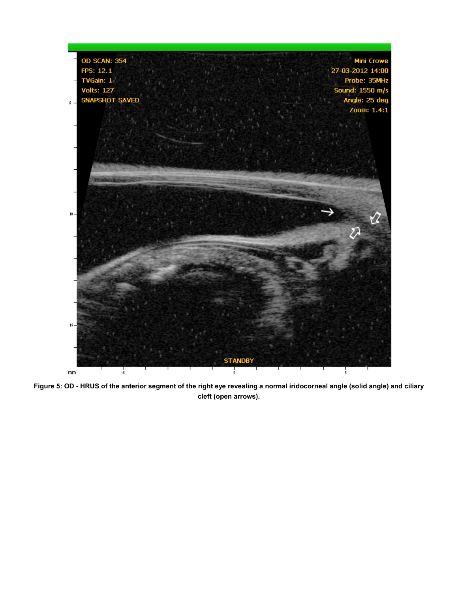

**Figure 5: OD - HRUS of the anterior segment of the right eye revealing a normal iridocorneal angle (solid angle) and ciliary cleft (open arrows).**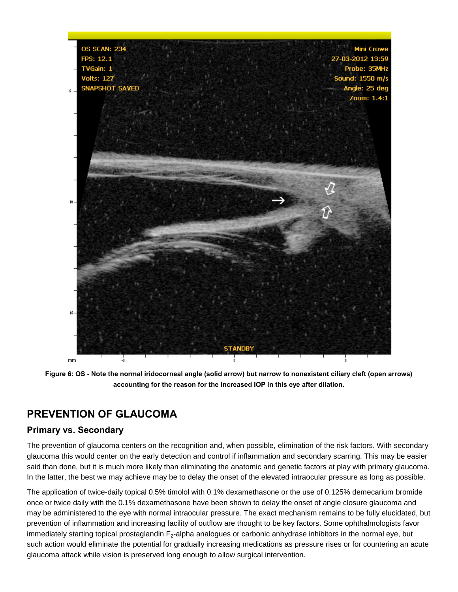

**Figure 6: OS - Note the normal iridocorneal angle (solid arrow) but narrow to nonexistent ciliary cleft (open arrows) accounting for the reason for the increased IOP in this eye after dilation.**

### **PREVENTION OF GLAUCOMA**

#### **Primary vs. Secondary**

The prevention of glaucoma centers on the recognition and, when possible, elimination of the risk factors. With secondary glaucoma this would center on the early detection and control if inflammation and secondary scarring. This may be easier said than done, but it is much more likely than eliminating the anatomic and genetic factors at play with primary glaucoma. In the latter, the best we may achieve may be to delay the onset of the elevated intraocular pressure as long as possible.

The application of twice-daily topical 0.5% timolol with 0.1% dexamethasone or the use of 0.125% demecarium bromide once or twice daily with the 0.1% dexamethasone have been shown to delay the onset of angle closure glaucoma and may be administered to the eye with normal intraocular pressure. The exact mechanism remains to be fully elucidated, but prevention of inflammation and increasing facility of outflow are thought to be key factors. Some ophthalmologists favor immediately starting topical prostaglandin  $F_2$ -alpha analogues or carbonic anhydrase inhibitors in the normal eye, but such action would eliminate the potential for gradually increasing medications as pressure rises or for countering an acute glaucoma attack while vision is preserved long enough to allow surgical intervention.